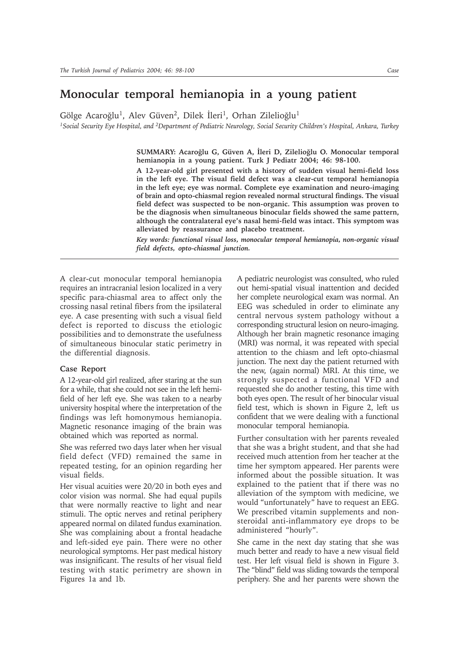## **Monocular temporal hemianopia in a young patient**

Gölge Acaroğlu<sup>1</sup>, Alev Güven<sup>2</sup>, Dilek İleri<sup>1</sup>, Orhan Zilelioğlu<sup>1</sup>

*1Social Security Eye Hospital, and 2Department of Pediatric Neurology, Social Security Children's Hospital, Ankara, Turkey*

SUMMARY: Acaroğlu G, Güven A, İleri D, Zilelioğlu O. Monocular temporal **hemianopia in a young patient. Turk J Pediatr 2004; 46: 98-100.**

**A 12-year-old girl presented with a history of sudden visual hemi-field loss in the left eye. The visual field defect was a clear-cut temporal hemianopia in the left eye; eye was normal. Complete eye examination and neuro-imaging of brain and opto-chiasmal region revealed normal structural findings. The visual field defect was suspected to be non-organic. This assumption was proven to be the diagnosis when simultaneous binocular fields showed the same pattern, although the contralateral eye's nasal hemi-field was intact. This symptom was alleviated by reassurance and placebo treatment.**

*Key words: functional visual loss, monocular temporal hemianopia, non-organic visual field defects, opto-chiasmal junction.*

A clear-cut monocular temporal hemianopia requires an intracranial lesion localized in a very specific para-chiasmal area to affect only the crossing nasal retinal fibers from the ipsilateral eye. A case presenting with such a visual field defect is reported to discuss the etiologic possibilities and to demonstrate the usefulness of simultaneous binocular static perimetry in the differential diagnosis.

## **Case Report**

A 12-year-old girl realized, after staring at the sun for a while, that she could not see in the left hemifield of her left eye. She was taken to a nearby university hospital where the interpretation of the findings was left homonymous hemianopia. Magnetic resonance imaging of the brain was obtained which was reported as normal.

She was referred two days later when her visual field defect (VFD) remained the same in repeated testing, for an opinion regarding her visual fields.

Her visual acuities were 20/20 in both eyes and color vision was normal. She had equal pupils that were normally reactive to light and near stimuli. The optic nerves and retinal periphery appeared normal on dilated fundus examination. She was complaining about a frontal headache and left-sided eye pain. There were no other neurological symptoms. Her past medical history was insignificant. The results of her visual field testing with static perimetry are shown in Figures 1a and 1b.

A pediatric neurologist was consulted, who ruled out hemi-spatial visual inattention and decided her complete neurological exam was normal. An EEG was scheduled in order to eliminate any central nervous system pathology without a corresponding structural lesion on neuro-imaging. Although her brain magnetic resonance imaging (MRI) was normal, it was repeated with special attention to the chiasm and left opto-chiasmal junction. The next day the patient returned with the new, (again normal) MRI. At this time, we strongly suspected a functional VFD and requested she do another testing, this time with both eyes open. The result of her binocular visual field test, which is shown in Figure 2, left us confident that we were dealing with a functional monocular temporal hemianopia.

Further consultation with her parents revealed that she was a bright student, and that she had received much attention from her teacher at the time her symptom appeared. Her parents were informed about the possible situation. It was explained to the patient that if there was no alleviation of the symptom with medicine, we would "unfortunately" have to request an EEG. We prescribed vitamin supplements and nonsteroidal anti-inflammatory eye drops to be administered "hourly".

She came in the next day stating that she was much better and ready to have a new visual field test. Her left visual field is shown in Figure 3. The "blind" field was sliding towards the temporal periphery. She and her parents were shown the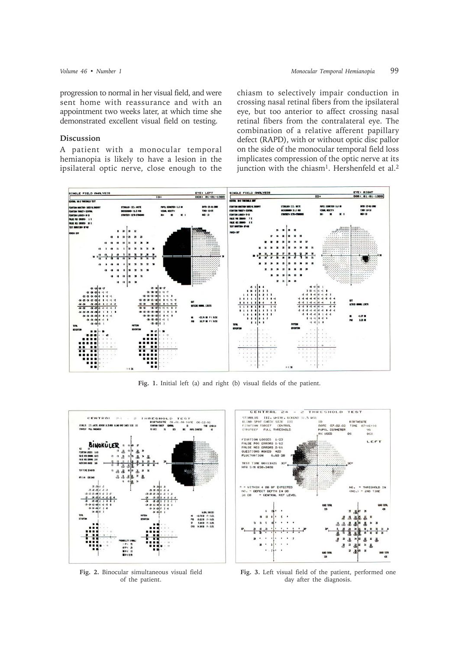## **Discussion**

A patient with a monocular temporal hemianopia is likely to have a lesion in the ipsilateral optic nerve, close enough to the chiasm to selectively impair conduction in crossing nasal retinal fibers from the ipsilateral eye, but too anterior to affect crossing nasal retinal fibers from the contralateral eye. The combination of a relative afferent papillary defect (RAPD), with or without optic disc pallor on the side of the monocular temporal field loss implicates compression of the optic nerve at its junction with the chiasm<sup>1</sup>. Hershenfeld et al.<sup>2</sup>



**Fig. 1.** Initial left (a) and right (b) visual fields of the patient.



**Fig. 2.** Binocular simultaneous visual field of the patient.

**Fig. 3.** Left visual field of the patient, performed one day after the diagnosis.